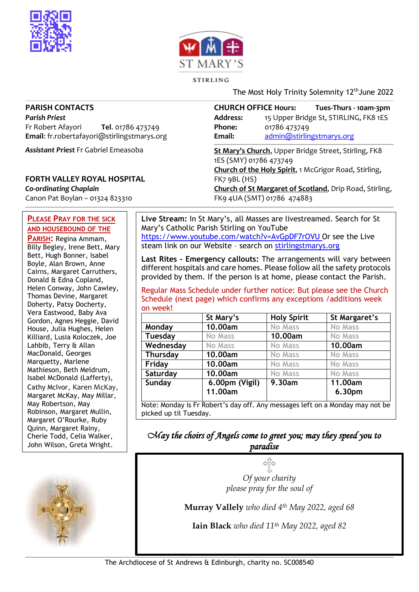



#### STIRLING

The Most Holy Trinity Solemnity 12<sup>th</sup> June 2022

#### **PARISH CONTACTS**

*Parish Priest* Fr Robert Afayori **Tel**. 01786 473749 **Email**: fr.robertafayori@stirlingstmarys.org

*Assistant Priest* Fr Gabriel Emeasoba

#### **FORTH VALLEY ROYAL HOSPITAL**

*Co-ordinating Chaplain* Canon Pat Boylan – 01324 823310

#### **PLEASE PRAY FOR THE SICK AND HOUSEBOUND OF THE**

**PARISH:** Regina Ammam, Billy Begley, Irene Bett, Mary Bett, Hugh Bonner, Isabel Boyle, Alan Brown, Anne Cairns, Margaret Carruthers, Donald & Edna Copland, Helen Conway, John Cawley, Thomas Devine, Margaret Doherty, Patsy Docherty, Vera Eastwood, Baby Ava Gordon, Agnes Heggie, David House, Julia Hughes, Helen Killiard, Lusia Koloczek, Joe Lahbib, Terry & Allan MacDonald, Georges Marquetty, Marlene Mathieson, Beth Meldrum, Isabel McDonald (Lafferty), Cathy McIvor, Karen McKay, Margaret McKay, May Millar, May Robertson, May Robinson, Margaret Mullin, Margaret O'Rourke, Ruby Quinn, Margaret Rainy, Cherie Todd, Celia Walker, John Wilson, Greta Wright.



**CHURCH OFFICE Hours: Tues-Thurs - 10am-3pm Address:** 15 Upper Bridge St, STIRLING, FK8 1ES **Phone:** 01786 473749 **Email:** [admin@stirlingstmarys.org](mailto:admin@stirlingstmarys.org) **St Mary's Church**, Upper Bridge Street, Stirling, FK8

1ES (SMY) 01786 473749 **Church of the Holy Spirit**, 1 McGrigor Road, Stirling, FK7 9BL (HS) **Church of St Margaret of Scotland**, Drip Road, Stirling, FK9 4UA (SMT) 01786 474883

**Live Stream:** In St Mary's, all Masses are livestreamed. Search for St Mary's Catholic Parish Stirling on YouTube <https://www.youtube.com/watch?v=AvGpDF7rOVU> Or see the Live steam link on our Website – search on stirlingstmarys.org

**Last Rites - Emergency callouts:** The arrangements will vary between different hospitals and care homes. Please follow all the safety protocols provided by them. If the person is at home, please contact the Parish.

Regular Mass Schedule under further notice: But please see the Church Schedule (next page) which confirms any exceptions /additions week on week!

|                | St Mary's      | <b>Holy Spirit</b> | St Margaret's  |
|----------------|----------------|--------------------|----------------|
| Monday         | 10.00am        | <b>No Mass</b>     | <b>No Mass</b> |
| <b>Tuesday</b> | <b>No Mass</b> | 10.00am            | <b>No Mass</b> |
| Wednesday      | <b>No Mass</b> | <b>No Mass</b>     | 10.00am        |
| Thursday       | 10.00am        | <b>No Mass</b>     | <b>No Mass</b> |
| Friday         | 10.00am        | <b>No Mass</b>     | <b>No Mass</b> |
| Saturday       | 10.00am        | <b>No Mass</b>     | <b>No Mass</b> |
| Sunday         | 6.00pm (Vigil) | 9.30am             | 11.00am        |
|                | 11.00am        |                    | 6.30pm         |

### *May the choirs of Angels come to greet you; may they speed you to paradise*

*Of your charity please pray for the soul of*

**Murray Vallely** *who died 4th May 2022, aged 68*

**Iain Black** *who died 11th May 2022, aged 82*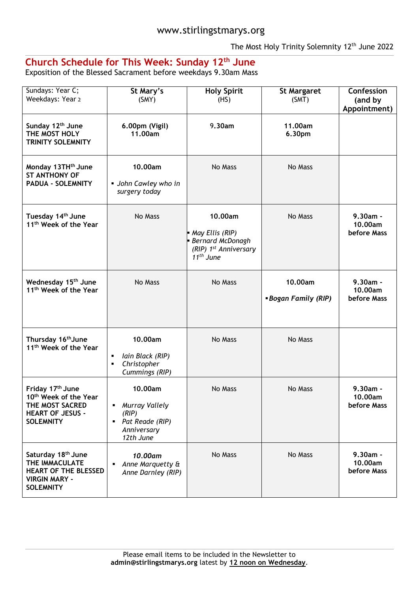The Most Holy Trinity Solemnity 12<sup>th</sup> June 2022

# **Church Schedule for This Week: Sunday 12th June**

Exposition of the Blessed Sacrament before weekdays 9.30am Mass

| Sundays: Year C;<br>Weekdays: Year 2                                                                                        | St Mary's<br>(SMY)                                                                  | <b>Holy Spirit</b><br>(HS)                                                                                   | <b>St Margaret</b><br>(SMT)          | Confession<br>(and by<br>Appointment) |
|-----------------------------------------------------------------------------------------------------------------------------|-------------------------------------------------------------------------------------|--------------------------------------------------------------------------------------------------------------|--------------------------------------|---------------------------------------|
| Sunday 12 <sup>th</sup> June<br>THE MOST HOLY<br>TRINITY SOLEMNITY                                                          | 6.00pm (Vigil)<br>11.00am                                                           | 9.30am                                                                                                       | 11.00am<br>6.30pm                    |                                       |
| Monday 13TH <sup>th</sup> June<br><b>ST ANTHONY OF</b><br><b>PADUA - SOLEMNITY</b>                                          | 10.00am<br>• John Cawley who in<br>surgery today                                    | No Mass                                                                                                      | No Mass                              |                                       |
| Tuesday 14 <sup>th</sup> June<br>11 <sup>th</sup> Week of the Year                                                          | No Mass                                                                             | 10.00am<br>May Ellis (RIP)<br>Bernard McDonagh<br>(RIP) 1 <sup>st</sup> Anniversary<br>11 <sup>th</sup> June | No Mass                              | $9.30am -$<br>10.00am<br>before Mass  |
| Wednesday 15 <sup>th</sup> June<br>11 <sup>th</sup> Week of the Year                                                        | No Mass                                                                             | No Mass                                                                                                      | 10.00am<br><b>Bogan Family (RIP)</b> | $9.30am -$<br>10.00am<br>before Mass  |
| Thursday 16 <sup>th</sup> June<br>11 <sup>th</sup> Week of the Year                                                         | 10.00am<br>Iain Black (RIP)<br>٠<br>Christopher<br>٠<br>Cummings (RIP)              | No Mass                                                                                                      | No Mass                              |                                       |
| Friday 17th June<br>10 <sup>th</sup> Week of the Year<br>THE MOST SACRED<br><b>HEART OF JESUS -</b><br><b>SOLEMNITY</b>     | 10.00am<br>Murray Vallely<br>(RIP)<br>• Pat Reade (RIP)<br>Anniversary<br>12th June | No Mass                                                                                                      | No Mass                              | 9.30am -<br>10.00am<br>before Mass    |
| Saturday 18 <sup>th</sup> June<br>THE IMMACULATE<br><b>HEART OF THE BLESSED</b><br><b>VIRGIN MARY -</b><br><b>SOLEMNITY</b> | 10.00am<br>Anne Marquetty &<br>٠<br>Anne Darnley (RIP)                              | No Mass                                                                                                      | No Mass                              | $9.30am -$<br>10.00am<br>before Mass  |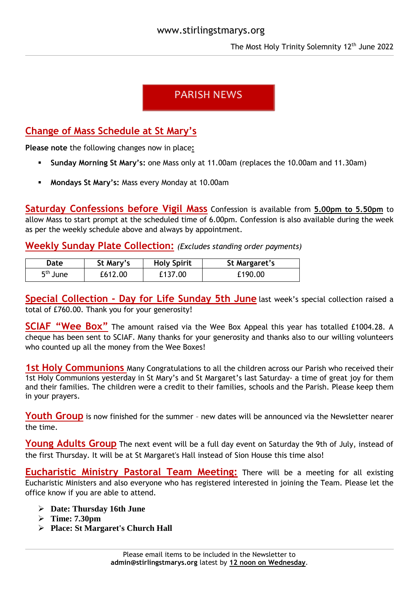# **PARISH NEWS**

# **Change of Mass Schedule at St Mary's**

**Please note** the following changes now in place**:**

- **Sunday Morning St Mary's:** one Mass only at 11.00am (replaces the 10.00am and 11.30am)
- **Mondays St Mary's:** Mass every Monday at 10.00am

**Saturday Confessions before Vigil Mass** Confession is available from **5.00pm to 5.50pm** to allow Mass to start prompt at the scheduled time of 6.00pm. Confession is also available during the week as per the weekly schedule above and always by appointment.

**Weekly Sunday Plate Collection:** *(Excludes standing order payments)*

| Date       | St Mary's | <b>Holy Spirit</b> | St Margaret's |
|------------|-----------|--------------------|---------------|
| $5th$ June | £612.00   | £137.00            | £190.00       |

**Special Collection - Day for Life Sunday 5th June** last week's special collection raised a total of £760.00. Thank you for your generosity!

**SCIAF "Wee Box"** The amount raised via the Wee Box Appeal this year has totalled £1004.28. A cheque has been sent to SCIAF. Many thanks for your generosity and thanks also to our willing volunteers who counted up all the money from the Wee Boxes!

**1st Holy Communions** Many Congratulations to all the children across our Parish who received their 1st Holy Communions yesterday in St Mary's and St Margaret's last Saturday- a time of great joy for them and their families. The children were a credit to their families, schools and the Parish. Please keep them in your prayers.

**Youth Group** is now finished for the summer - new dates will be announced via the Newsletter nearer the time.

Young Adults Group The next event will be a full day event on Saturday the 9th of July, instead of the first Thursday. It will be at St Margaret's Hall instead of Sion House this time also!

**Eucharistic Ministry Pastoral Team Meeting:** There will be a meeting for all existing Eucharistic Ministers and also everyone who has registered interested in joining the Team. Please let the office know if you are able to attend.

- **Date: Thursday 16th June**
- **Time: 7.30pm**
- **Place: St Margaret's Church Hall**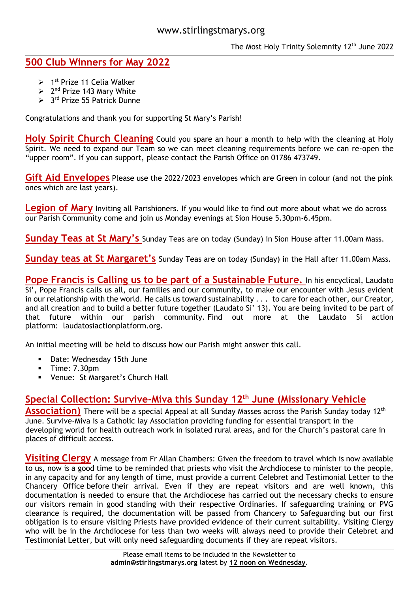### www.stirlingstmarys.org

The Most Holy Trinity Solemnity 12<sup>th</sup> June 2022

## **500 Club Winners for May 2022**

- $> 1<sup>st</sup>$  Prize 11 Celia Walker
- $\geq 2^{nd}$  Prize 143 Mary White
- > 3<sup>rd</sup> Prize 55 Patrick Dunne

Congratulations and thank you for supporting St Mary's Parish!

**Holy Spirit Church Cleaning** Could you spare an hour a month to help with the cleaning at Holy Spirit. We need to expand our Team so we can meet cleaning requirements before we can re-open the "upper room". If you can support, please contact the Parish Office on 01786 473749.

**Gift Aid Envelopes** Please use the 2022/2023 envelopes which are Green in colour (and not the pink ones which are last years).

**Legion of Mary** Inviting all Parishioners. If you would like to find out more about what we do across our Parish Community come and join us Monday evenings at Sion House 5.30pm-6.45pm.

**Sunday Teas at St Mary's** Sunday Teas are on today (Sunday) in Sion House after 11.00am Mass.

**Sunday teas at St Margaret's** Sunday Teas are on today (Sunday) in the Hall after 11.00am Mass.

**Pope Francis is Calling us to be part of a Sustainable Future.** In his encyclical, Laudato Si', Pope Francis calls us all, our families and our community, to make our encounter with Jesus evident in our relationship with the world. He calls us toward sustainability . . . to care for each other, our Creator, and all creation and to build a better future together (Laudato Si' 13). You are being invited to be part of that future within our parish community. Find out more at the Laudato Si action platform: laudatosiactionplatform.org.

An initial meeting will be held to discuss how our Parish might answer this call.

- Date: Wednesday 15th June
- **Time: 7.30pm**
- Venue: St Margaret's Church Hall

# **Special Collection: Survive-Miva this Sunday 12th June (Missionary Vehicle**

**Association)** There will be a special Appeal at all Sunday Masses across the Parish Sunday today 12<sup>th</sup> June. Survive-Miva is a Catholic lay Association providing funding for essential transport in the developing world for health outreach work in isolated rural areas, and for the Church's pastoral care in places of difficult access.

**Visiting Clergy** A message from Fr Allan Chambers: Given the freedom to travel which is now available to us, now is a good time to be reminded that priests who visit the Archdiocese to minister to the people, in any capacity and for any length of time, must provide a current Celebret and Testimonial Letter to the Chancery Office before their arrival. Even if they are repeat visitors and are well known, this documentation is needed to ensure that the Archdiocese has carried out the necessary checks to ensure our visitors remain in good standing with their respective Ordinaries. If safeguarding training or PVG clearance is required, the documentation will be passed from Chancery to Safeguarding but our first obligation is to ensure visiting Priests have provided evidence of their current suitability. Visiting Clergy who will be in the Archdiocese for less than two weeks will always need to provide their Celebret and Testimonial Letter, but will only need safeguarding documents if they are repeat visitors.